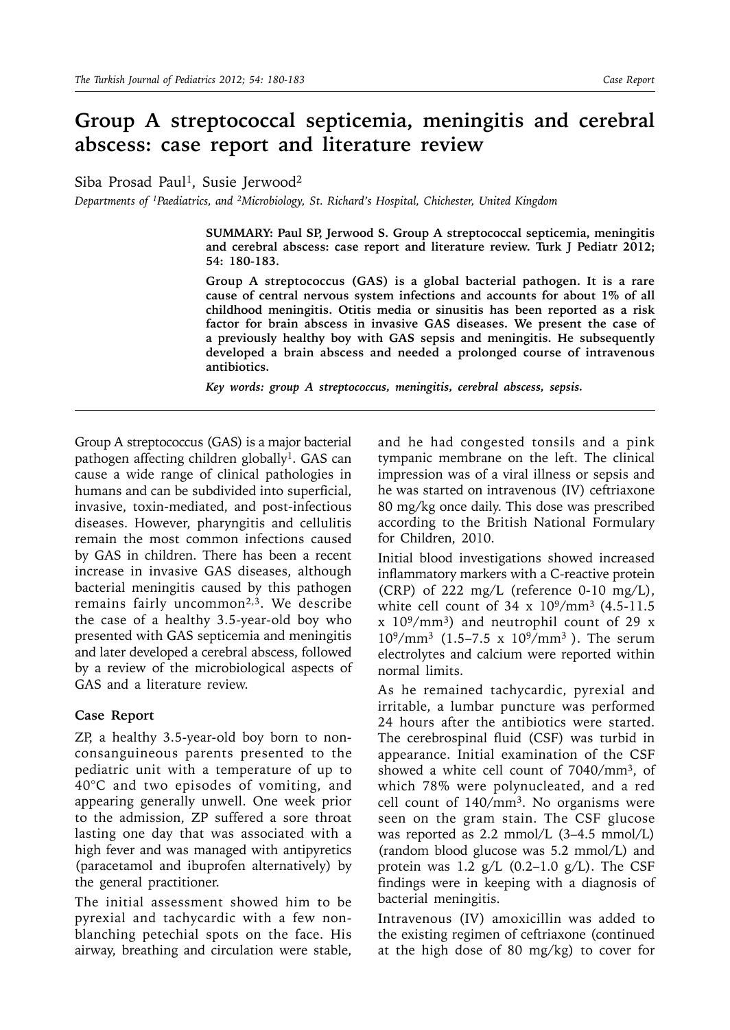# **Group A streptococcal septicemia, meningitis and cerebral abscess: case report and literature review**

Siba Prosad Paul<sup>1</sup>, Susie Jerwood<sup>2</sup>

*Departments of 1Paediatrics, and 2Microbiology, St. Richard's Hospital, Chichester, United Kingdom*

**SUMMARY: Paul SP, Jerwood S. Group A streptococcal septicemia, meningitis and cerebral abscess: case report and literature review. Turk J Pediatr 2012; 54: 180-183.**

**Group A streptococcus (GAS) is a global bacterial pathogen. It is a rare cause of central nervous system infections and accounts for about 1% of all childhood meningitis. Otitis media or sinusitis has been reported as a risk factor for brain abscess in invasive GAS diseases. We present the case of a previously healthy boy with GAS sepsis and meningitis. He subsequently developed a brain abscess and needed a prolonged course of intravenous antibiotics.** 

*Key words: group A streptococcus, meningitis, cerebral abscess, sepsis.*

Group A streptococcus (GAS) is a major bacterial pathogen affecting children globally<sup>1</sup>. GAS can cause a wide range of clinical pathologies in humans and can be subdivided into superficial, invasive, toxin-mediated, and post-infectious diseases. However, pharyngitis and cellulitis remain the most common infections caused by GAS in children. There has been a recent increase in invasive GAS diseases, although bacterial meningitis caused by this pathogen remains fairly uncommon<sup>2,3</sup>. We describe the case of a healthy 3.5-year-old boy who presented with GAS septicemia and meningitis and later developed a cerebral abscess, followed by a review of the microbiological aspects of GAS and a literature review.

#### **Case Report**

ZP, a healthy 3.5-year-old boy born to nonconsanguineous parents presented to the pediatric unit with a temperature of up to 40°C and two episodes of vomiting, and appearing generally unwell. One week prior to the admission, ZP suffered a sore throat lasting one day that was associated with a high fever and was managed with antipyretics (paracetamol and ibuprofen alternatively) by the general practitioner.

The initial assessment showed him to be pyrexial and tachycardic with a few nonblanching petechial spots on the face. His airway, breathing and circulation were stable,

and he had congested tonsils and a pink tympanic membrane on the left. The clinical impression was of a viral illness or sepsis and he was started on intravenous (IV) ceftriaxone 80 mg/kg once daily. This dose was prescribed according to the British National Formulary for Children, 2010.

Initial blood investigations showed increased inflammatory markers with a C-reactive protein (CRP) of 222 mg/L (reference 0-10 mg/L), white cell count of 34 x 109/mm3 (4.5-11.5  $x$  10<sup>9</sup>/mm<sup>3</sup>) and neutrophil count of 29 x  $10^9/\text{mm}^3$  (1.5–7.5 x  $10^9/\text{mm}^3$ ). The serum electrolytes and calcium were reported within normal limits.

As he remained tachycardic, pyrexial and irritable, a lumbar puncture was performed 24 hours after the antibiotics were started. The cerebrospinal fluid (CSF) was turbid in appearance. Initial examination of the CSF showed a white cell count of 7040/mm3, of which 78% were polynucleated, and a red cell count of  $140/mm^3$ . No organisms were seen on the gram stain. The CSF glucose was reported as 2.2 mmol/L (3–4.5 mmol/L) (random blood glucose was 5.2 mmol/L) and protein was 1.2  $g/L$  (0.2–1.0  $g/L$ ). The CSF findings were in keeping with a diagnosis of bacterial meningitis.

Intravenous (IV) amoxicillin was added to the existing regimen of ceftriaxone (continued at the high dose of 80 mg/kg) to cover for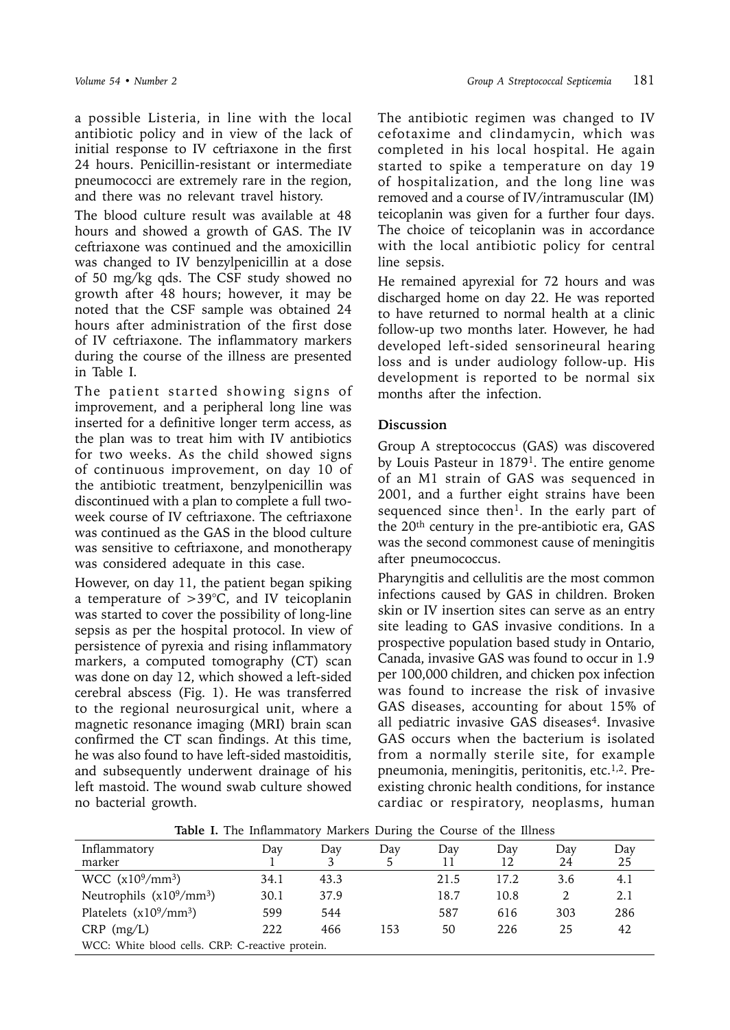a possible Listeria, in line with the local antibiotic policy and in view of the lack of initial response to IV ceftriaxone in the first 24 hours. Penicillin-resistant or intermediate pneumococci are extremely rare in the region, and there was no relevant travel history.

The blood culture result was available at 48 hours and showed a growth of GAS. The IV ceftriaxone was continued and the amoxicillin was changed to IV benzylpenicillin at a dose of 50 mg/kg qds. The CSF study showed no growth after 48 hours; however, it may be noted that the CSF sample was obtained 24 hours after administration of the first dose of IV ceftriaxone. The inflammatory markers during the course of the illness are presented in Table I.

The patient started showing signs of improvement, and a peripheral long line was inserted for a definitive longer term access, as the plan was to treat him with IV antibiotics for two weeks. As the child showed signs of continuous improvement, on day 10 of the antibiotic treatment, benzylpenicillin was discontinued with a plan to complete a full twoweek course of IV ceftriaxone. The ceftriaxone was continued as the GAS in the blood culture was sensitive to ceftriaxone, and monotherapy was considered adequate in this case.

However, on day 11, the patient began spiking a temperature of >39°C, and IV teicoplanin was started to cover the possibility of long-line sepsis as per the hospital protocol. In view of persistence of pyrexia and rising inflammatory markers, a computed tomography (CT) scan was done on day 12, which showed a left-sided cerebral abscess (Fig. 1). He was transferred to the regional neurosurgical unit, where a magnetic resonance imaging (MRI) brain scan confirmed the CT scan findings. At this time, he was also found to have left-sided mastoiditis, and subsequently underwent drainage of his left mastoid. The wound swab culture showed no bacterial growth.

The antibiotic regimen was changed to IV cefotaxime and clindamycin, which was completed in his local hospital. He again started to spike a temperature on day 19 of hospitalization, and the long line was removed and a course of IV/intramuscular (IM) teicoplanin was given for a further four days. The choice of teicoplanin was in accordance with the local antibiotic policy for central line sepsis.

He remained apyrexial for 72 hours and was discharged home on day 22. He was reported to have returned to normal health at a clinic follow-up two months later. However, he had developed left-sided sensorineural hearing loss and is under audiology follow-up. His development is reported to be normal six months after the infection.

# **Discussion**

Group A streptococcus (GAS) was discovered by Louis Pasteur in 1879<sup>1</sup>. The entire genome of an M1 strain of GAS was sequenced in 2001, and a further eight strains have been sequenced since then<sup>1</sup>. In the early part of the 20th century in the pre-antibiotic era, GAS was the second commonest cause of meningitis after pneumococcus.

Pharyngitis and cellulitis are the most common infections caused by GAS in children. Broken skin or IV insertion sites can serve as an entry site leading to GAS invasive conditions. In a prospective population based study in Ontario, Canada, invasive GAS was found to occur in 1.9 per 100,000 children, and chicken pox infection was found to increase the risk of invasive GAS diseases, accounting for about 15% of all pediatric invasive GAS diseases<sup>4</sup>. Invasive GAS occurs when the bacterium is isolated from a normally sterile site, for example pneumonia, meningitis, peritonitis, etc.<sup>1,2</sup>. Preexisting chronic health conditions, for instance cardiac or respiratory, neoplasms, human

| Table I. The Inflammatory Markers During the Course of the Illness |  |  |  |  |
|--------------------------------------------------------------------|--|--|--|--|
|--------------------------------------------------------------------|--|--|--|--|

| Inflammatory                                     | Day  | Dav  | Dav | Dav  | Day  | Dav | Day |
|--------------------------------------------------|------|------|-----|------|------|-----|-----|
| marker                                           |      |      |     |      |      | 24  | 25  |
| WCC (x10 <sup>9</sup> /mm <sup>3</sup> )         | 34.1 | 43.3 |     | 21.5 | 17.2 | 3.6 | 4.1 |
| Neutrophils $(x10^9/\text{mm}^3)$                | 30.1 | 37.9 |     | 18.7 | 10.8 |     | 2.1 |
| Platelets $(x10^9/\text{mm}^3)$                  | 599  | 544  |     | 587  | 616  | 303 | 286 |
| $CRP$ (mg/L)                                     | 222  | 466  | 153 | 50   | 226  | 25  | 42  |
| WCC: White blood cells. CRP: C-reactive protein. |      |      |     |      |      |     |     |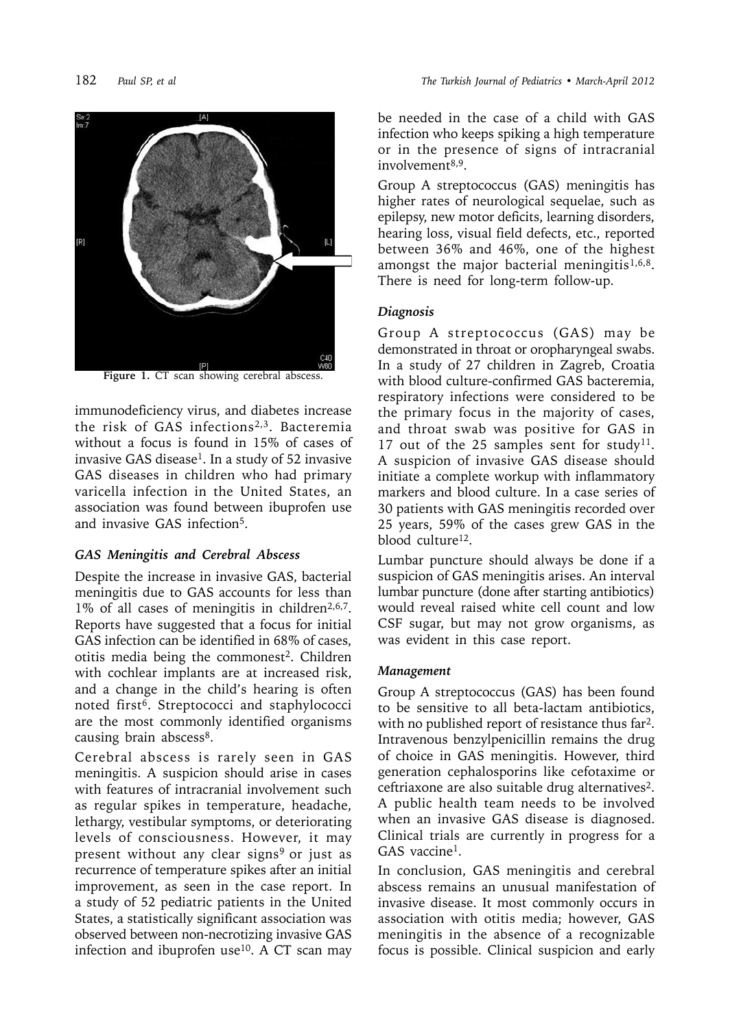

Figure 1. CT scan showing cerebral abscess.

immunodeficiency virus, and diabetes increase the risk of GAS infections2,3. Bacteremia without a focus is found in 15% of cases of invasive GAS disease<sup>1</sup>. In a study of 52 invasive GAS diseases in children who had primary varicella infection in the United States, an association was found between ibuprofen use and invasive GAS infection5.

# *GAS Meningitis and Cerebral Abscess*

Despite the increase in invasive GAS, bacterial meningitis due to GAS accounts for less than 1% of all cases of meningitis in children<sup>2,6,7</sup>. Reports have suggested that a focus for initial GAS infection can be identified in 68% of cases, otitis media being the commonest<sup>2</sup>. Children with cochlear implants are at increased risk, and a change in the child's hearing is often noted first<sup>6</sup>. Streptococci and staphylococci are the most commonly identified organisms causing brain abscess<sup>8</sup>.

Cerebral abscess is rarely seen in GAS meningitis. A suspicion should arise in cases with features of intracranial involvement such as regular spikes in temperature, headache, lethargy, vestibular symptoms, or deteriorating levels of consciousness. However, it may present without any clear signs<sup>9</sup> or just as recurrence of temperature spikes after an initial improvement, as seen in the case report. In a study of 52 pediatric patients in the United States, a statistically significant association was observed between non-necrotizing invasive GAS infection and ibuprofen use<sup>10</sup>. A CT scan may

be needed in the case of a child with GAS infection who keeps spiking a high temperature or in the presence of signs of intracranial involvement<sup>8,9</sup>.

Group A streptococcus (GAS) meningitis has higher rates of neurological sequelae, such as epilepsy, new motor deficits, learning disorders, hearing loss, visual field defects, etc., reported between 36% and 46%, one of the highest amongst the major bacterial meningitis $1,6,8$ . There is need for long-term follow-up.

# *Diagnosis*

Group A streptococcus (GAS) may be demonstrated in throat or oropharyngeal swabs. In a study of 27 children in Zagreb, Croatia with blood culture-confirmed GAS bacteremia, respiratory infections were considered to be the primary focus in the majority of cases, and throat swab was positive for GAS in 17 out of the 25 samples sent for study<sup>11</sup>. A suspicion of invasive GAS disease should initiate a complete workup with inflammatory markers and blood culture. In a case series of 30 patients with GAS meningitis recorded over 25 years, 59% of the cases grew GAS in the blood culture<sup>12</sup>.

Lumbar puncture should always be done if a suspicion of GAS meningitis arises. An interval lumbar puncture (done after starting antibiotics) would reveal raised white cell count and low CSF sugar, but may not grow organisms, as was evident in this case report.

# *Management*

Group A streptococcus (GAS) has been found to be sensitive to all beta-lactam antibiotics, with no published report of resistance thus far<sup>2</sup>. Intravenous benzylpenicillin remains the drug of choice in GAS meningitis. However, third generation cephalosporins like cefotaxime or ceftriaxone are also suitable drug alternatives2. A public health team needs to be involved when an invasive GAS disease is diagnosed. Clinical trials are currently in progress for a GAS vaccine<sup>1</sup>.

In conclusion, GAS meningitis and cerebral abscess remains an unusual manifestation of invasive disease. It most commonly occurs in association with otitis media; however, GAS meningitis in the absence of a recognizable focus is possible. Clinical suspicion and early